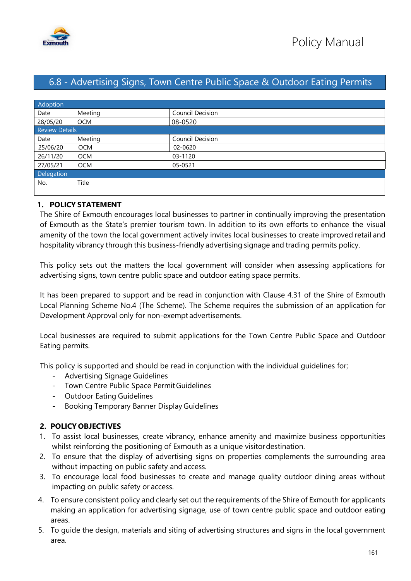

# 6.8 - Advertising Signs, Town Centre Public Space & Outdoor Eating Permits

| Adoption              |            |                  |
|-----------------------|------------|------------------|
| Date                  | Meeting    | Council Decision |
| 28/05/20              | <b>OCM</b> | 08-0520          |
| <b>Review Details</b> |            |                  |
| Date                  | Meeting    | Council Decision |
| 25/06/20              | <b>OCM</b> | 02-0620          |
| 26/11/20              | <b>OCM</b> | 03-1120          |
| 27/05/21              | <b>OCM</b> | 05-0521          |
| Delegation            |            |                  |
| No.                   | Title      |                  |
|                       |            |                  |

# **1. POLICY STATEMENT**

The Shire of Exmouth encourages local businesses to partner in continually improving the presentation of Exmouth as the State's premier tourism town. In addition to its own efforts to enhance the visual amenity of the town the local government actively invites local businesses to create improved retail and hospitality vibrancy through this business-friendly advertising signage and trading permits policy.

This policy sets out the matters the local government will consider when assessing applications for advertising signs, town centre public space and outdoor eating space permits.

It has been prepared to support and be read in conjunction with Clause 4.31 of the Shire of Exmouth Local Planning Scheme No.4 (The Scheme). The Scheme requires the submission of an application for Development Approval only for non-exempt advertisements.

Local businesses are required to submit applications for the Town Centre Public Space and Outdoor Eating permits.

This policy is supported and should be read in conjunction with the individual guidelines for;

- Advertising Signage Guidelines
- Town Centre Public Space PermitGuidelines
- Outdoor Eating Guidelines
- Booking Temporary Banner Display Guidelines

### **2. POLICY OBJECTIVES**

- 1. To assist local businesses, create vibrancy, enhance amenity and maximize business opportunities whilst reinforcing the positioning of Exmouth as a unique visitordestination.
- 2. To ensure that the display of advertising signs on properties complements the surrounding area without impacting on public safety and access.
- 3. To encourage local food businesses to create and manage quality outdoor dining areas without impacting on public safety or access.
- 4. To ensure consistent policy and clearly set out the requirements of the Shire of Exmouth for applicants making an application for advertising signage, use of town centre public space and outdoor eating areas.
- 5. To guide the design, materials and siting of advertising structures and signs in the local government area.